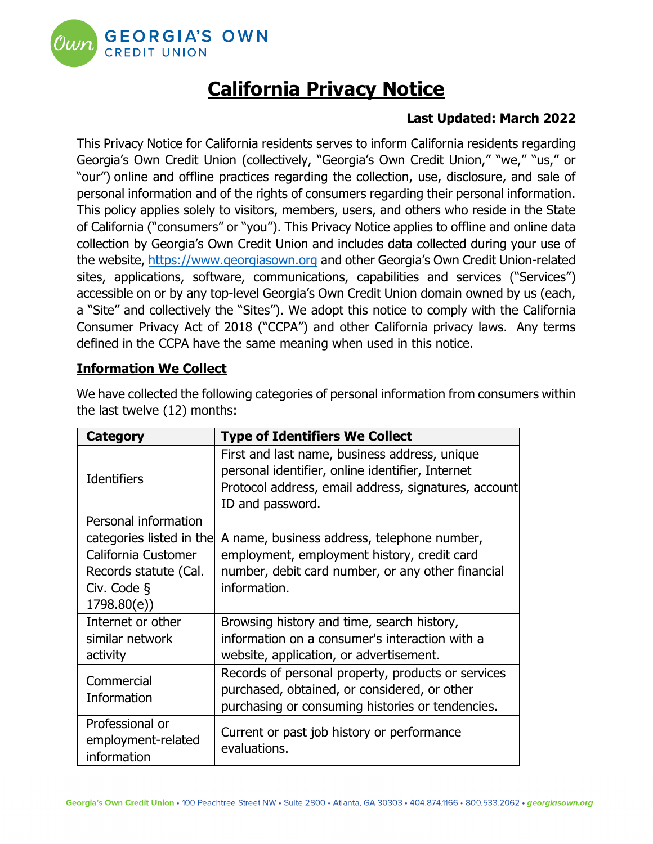

# **California Privacy Notice**

# **Last Updated: March 2022**

This Privacy Notice for California residents serves to inform California residents regarding Georgia's Own Credit Union (collectively, "Georgia's Own Credit Union," "we," "us," or "our") online and offline practices regarding the collection, use, disclosure, and sale of personal information and of the rights of consumers regarding their personal information. This policy applies solely to visitors, members, users, and others who reside in the State of California ("consumers" or "you"). This Privacy Notice applies to offline and online data collection by Georgia's Own Credit Union and includes data collected during your use of the website, [https://www.georgiasown.org](https://www.georgiasown.org/) and other Georgia's Own Credit Union-related sites, applications, software, communications, capabilities and services ("Services") accessible on or by any top-level Georgia's Own Credit Union domain owned by us (each, a "Site" and collectively the "Sites"). We adopt this notice to comply with the California Consumer Privacy Act of 2018 ("CCPA") and other California privacy laws. Any terms defined in the CCPA have the same meaning when used in this notice.

# **Information We Collect**

| <b>Category</b>                                                                                                               | <b>Type of Identifiers We Collect</b>                                                                                                                                                         |
|-------------------------------------------------------------------------------------------------------------------------------|-----------------------------------------------------------------------------------------------------------------------------------------------------------------------------------------------|
| <b>Identifiers</b>                                                                                                            | First and last name, business address, unique<br>personal identifier, online identifier, Internet<br>Protocol address, email address, signatures, account<br>ID and password.                 |
| Personal information<br>categories listed in the<br>California Customer<br>Records statute (Cal.<br>Civ. Code §<br>1798.80(e) | A name, business address, telephone number,<br>employment, employment history, credit card<br>number, debit card number, or any other financial<br>information.                               |
| Internet or other<br>similar network<br>activity                                                                              | Browsing history and time, search history,<br>information on a consumer's interaction with a<br>website, application, or advertisement.<br>Records of personal property, products or services |
| Commercial<br>Information                                                                                                     | purchased, obtained, or considered, or other<br>purchasing or consuming histories or tendencies.                                                                                              |
| Professional or<br>employment-related<br>information                                                                          | Current or past job history or performance<br>evaluations.                                                                                                                                    |

We have collected the following categories of personal information from consumers within the last twelve (12) months: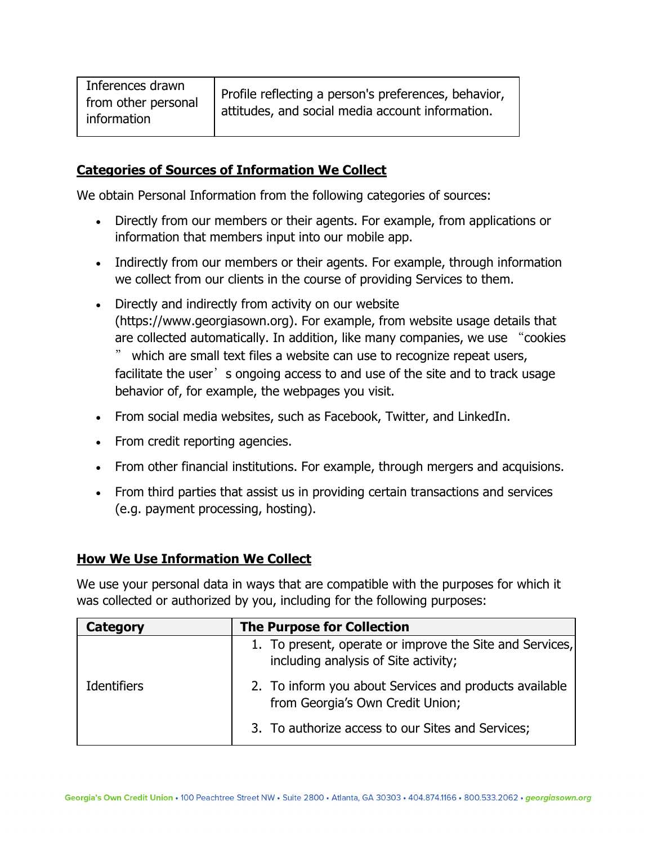| Inferences drawn<br>from other personal<br>information | Profile reflecting a person's preferences, behavior,<br>attitudes, and social media account information. |
|--------------------------------------------------------|----------------------------------------------------------------------------------------------------------|
|--------------------------------------------------------|----------------------------------------------------------------------------------------------------------|

## **Categories of Sources of Information We Collect**

We obtain Personal Information from the following categories of sources:

- Directly from our members or their agents. For example, from applications or information that members input into our mobile app.
- Indirectly from our members or their agents. For example, through information we collect from our clients in the course of providing Services to them.
- Directly and indirectly from activity on our website (https://www.georgiasown.org). For example, from website usage details that are collected automatically. In addition, like many companies, we use "cookies " which are small text files a website can use to recognize repeat users, facilitate the user's ongoing access to and use of the site and to track usage behavior of, for example, the webpages you visit.
- From social media websites, such as Facebook, Twitter, and LinkedIn.
- From credit reporting agencies.
- From other financial institutions. For example, through mergers and acquisions.
- From third parties that assist us in providing certain transactions and services (e.g. payment processing, hosting).

## **How We Use Information We Collect**

We use your personal data in ways that are compatible with the purposes for which it was collected or authorized by you, including for the following purposes:

| Category           | <b>The Purpose for Collection</b>                                                                |
|--------------------|--------------------------------------------------------------------------------------------------|
| <b>Identifiers</b> | 1. To present, operate or improve the Site and Services,<br>including analysis of Site activity; |
|                    | 2. To inform you about Services and products available<br>from Georgia's Own Credit Union;       |
|                    | 3. To authorize access to our Sites and Services;                                                |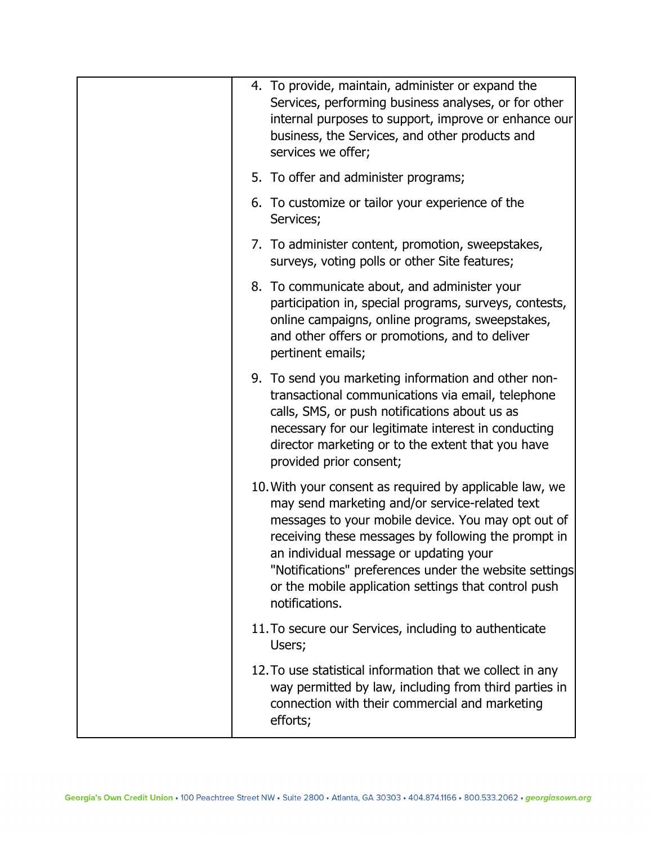| 4. To provide, maintain, administer or expand the<br>Services, performing business analyses, or for other<br>internal purposes to support, improve or enhance our<br>business, the Services, and other products and<br>services we offer;                                                                                                                                                            |
|------------------------------------------------------------------------------------------------------------------------------------------------------------------------------------------------------------------------------------------------------------------------------------------------------------------------------------------------------------------------------------------------------|
| 5. To offer and administer programs;                                                                                                                                                                                                                                                                                                                                                                 |
| 6. To customize or tailor your experience of the<br>Services;                                                                                                                                                                                                                                                                                                                                        |
| 7. To administer content, promotion, sweepstakes,<br>surveys, voting polls or other Site features;                                                                                                                                                                                                                                                                                                   |
| 8. To communicate about, and administer your<br>participation in, special programs, surveys, contests,<br>online campaigns, online programs, sweepstakes,<br>and other offers or promotions, and to deliver<br>pertinent emails;                                                                                                                                                                     |
| 9. To send you marketing information and other non-<br>transactional communications via email, telephone<br>calls, SMS, or push notifications about us as<br>necessary for our legitimate interest in conducting<br>director marketing or to the extent that you have<br>provided prior consent;                                                                                                     |
| 10. With your consent as required by applicable law, we<br>may send marketing and/or service-related text<br>messages to your mobile device. You may opt out of<br>receiving these messages by following the prompt in<br>an individual message or updating your<br>"Notifications" preferences under the website settings<br>or the mobile application settings that control push<br>notifications. |
| 11. To secure our Services, including to authenticate<br>Users;                                                                                                                                                                                                                                                                                                                                      |
| 12. To use statistical information that we collect in any<br>way permitted by law, including from third parties in<br>connection with their commercial and marketing<br>efforts;                                                                                                                                                                                                                     |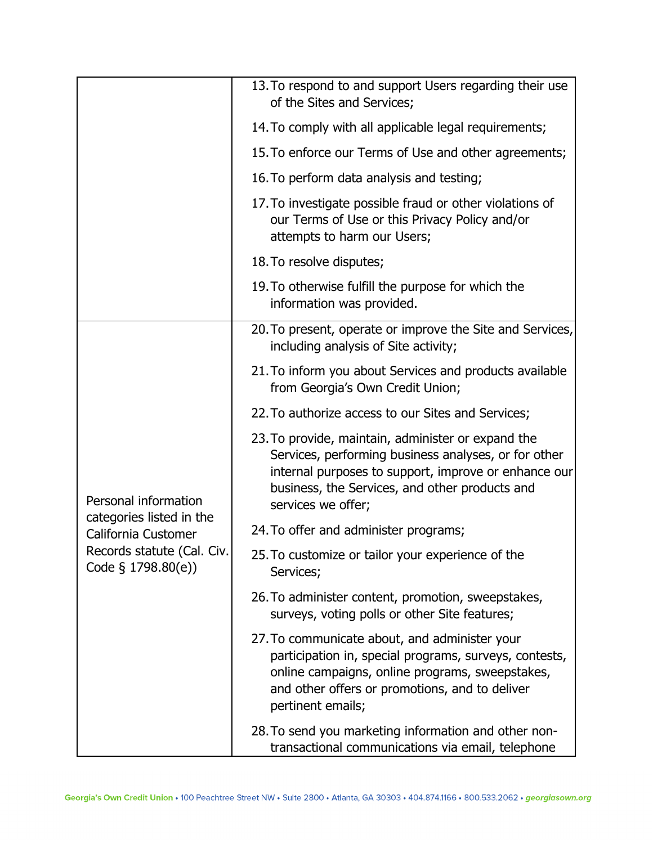|                                                                                                                             | 13. To respond to and support Users regarding their use<br>of the Sites and Services;                                                                                                                                                      |
|-----------------------------------------------------------------------------------------------------------------------------|--------------------------------------------------------------------------------------------------------------------------------------------------------------------------------------------------------------------------------------------|
|                                                                                                                             | 14. To comply with all applicable legal requirements;                                                                                                                                                                                      |
|                                                                                                                             | 15. To enforce our Terms of Use and other agreements;                                                                                                                                                                                      |
|                                                                                                                             | 16. To perform data analysis and testing;                                                                                                                                                                                                  |
|                                                                                                                             | 17. To investigate possible fraud or other violations of<br>our Terms of Use or this Privacy Policy and/or<br>attempts to harm our Users;                                                                                                  |
|                                                                                                                             | 18. To resolve disputes;                                                                                                                                                                                                                   |
|                                                                                                                             | 19. To otherwise fulfill the purpose for which the<br>information was provided.                                                                                                                                                            |
|                                                                                                                             | 20. To present, operate or improve the Site and Services,<br>including analysis of Site activity;                                                                                                                                          |
|                                                                                                                             | 21. To inform you about Services and products available<br>from Georgia's Own Credit Union;                                                                                                                                                |
|                                                                                                                             | 22. To authorize access to our Sites and Services;                                                                                                                                                                                         |
| Personal information<br>categories listed in the<br>California Customer<br>Records statute (Cal. Civ.<br>Code § 1798.80(e)) | 23. To provide, maintain, administer or expand the<br>Services, performing business analyses, or for other<br>internal purposes to support, improve or enhance our<br>business, the Services, and other products and<br>services we offer; |
|                                                                                                                             | 24. To offer and administer programs;                                                                                                                                                                                                      |
|                                                                                                                             | 25. To customize or tailor your experience of the<br>Services;                                                                                                                                                                             |
|                                                                                                                             | 26. To administer content, promotion, sweepstakes,<br>surveys, voting polls or other Site features;                                                                                                                                        |
|                                                                                                                             | 27. To communicate about, and administer your<br>participation in, special programs, surveys, contests,<br>online campaigns, online programs, sweepstakes,<br>and other offers or promotions, and to deliver<br>pertinent emails;          |
|                                                                                                                             | 28. To send you marketing information and other non-<br>transactional communications via email, telephone                                                                                                                                  |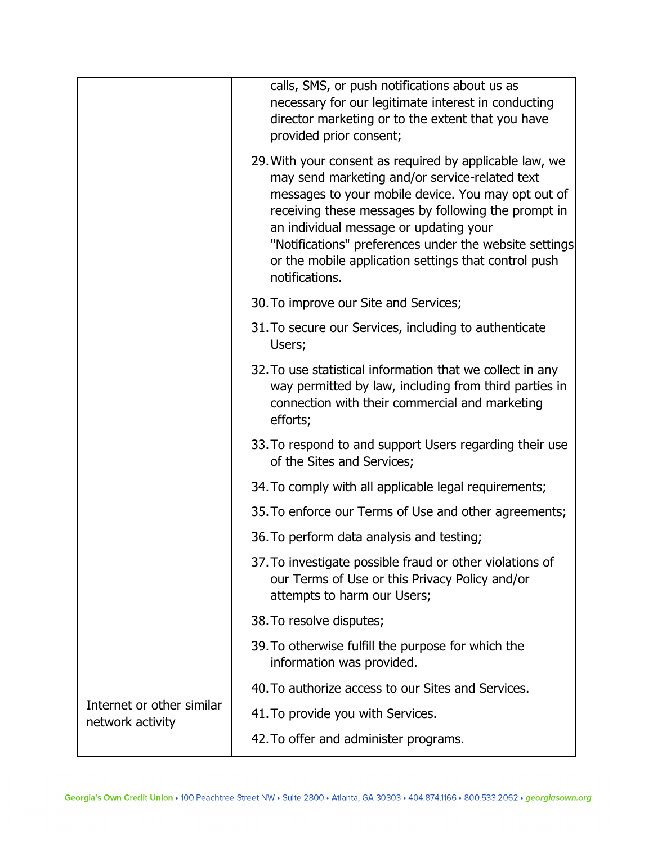|                                               | calls, SMS, or push notifications about us as<br>necessary for our legitimate interest in conducting<br>director marketing or to the extent that you have<br>provided prior consent;                                                                                                                                                                                                                 |
|-----------------------------------------------|------------------------------------------------------------------------------------------------------------------------------------------------------------------------------------------------------------------------------------------------------------------------------------------------------------------------------------------------------------------------------------------------------|
|                                               | 29. With your consent as required by applicable law, we<br>may send marketing and/or service-related text<br>messages to your mobile device. You may opt out of<br>receiving these messages by following the prompt in<br>an individual message or updating your<br>"Notifications" preferences under the website settings<br>or the mobile application settings that control push<br>notifications. |
|                                               | 30. To improve our Site and Services;                                                                                                                                                                                                                                                                                                                                                                |
|                                               | 31. To secure our Services, including to authenticate<br>Users;                                                                                                                                                                                                                                                                                                                                      |
|                                               | 32. To use statistical information that we collect in any<br>way permitted by law, including from third parties in<br>connection with their commercial and marketing<br>efforts;                                                                                                                                                                                                                     |
|                                               | 33. To respond to and support Users regarding their use<br>of the Sites and Services;                                                                                                                                                                                                                                                                                                                |
|                                               | 34. To comply with all applicable legal requirements;                                                                                                                                                                                                                                                                                                                                                |
|                                               | 35. To enforce our Terms of Use and other agreements;                                                                                                                                                                                                                                                                                                                                                |
|                                               | 36. To perform data analysis and testing;                                                                                                                                                                                                                                                                                                                                                            |
|                                               | 37. To investigate possible fraud or other violations of<br>our Terms of Use or this Privacy Policy and/or<br>attempts to harm our Users;                                                                                                                                                                                                                                                            |
|                                               | 38. To resolve disputes;                                                                                                                                                                                                                                                                                                                                                                             |
|                                               | 39. To otherwise fulfill the purpose for which the<br>information was provided.                                                                                                                                                                                                                                                                                                                      |
| Internet or other similar<br>network activity | 40. To authorize access to our Sites and Services.                                                                                                                                                                                                                                                                                                                                                   |
|                                               | 41. To provide you with Services.                                                                                                                                                                                                                                                                                                                                                                    |
|                                               | 42. To offer and administer programs.                                                                                                                                                                                                                                                                                                                                                                |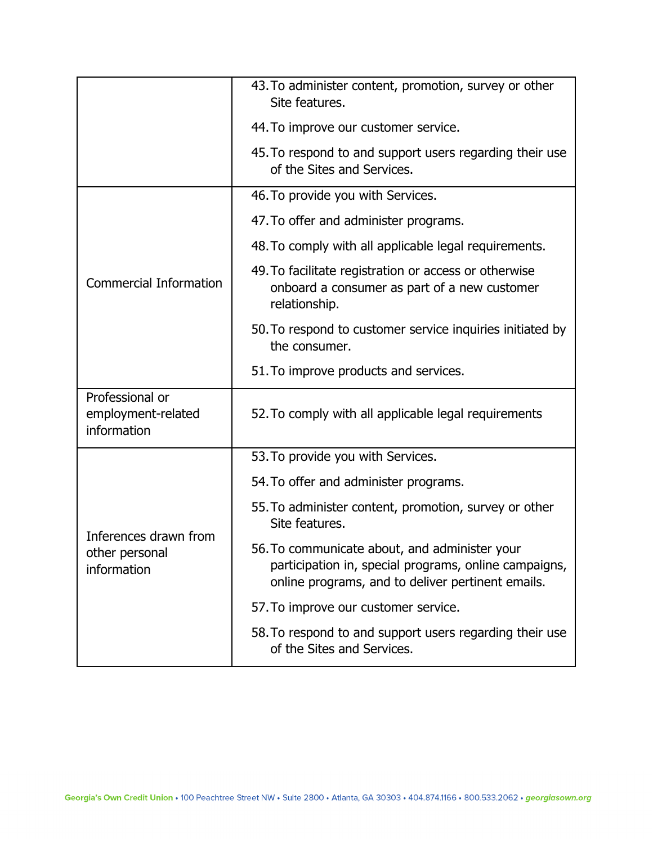|                                                        | 43. To administer content, promotion, survey or other<br>Site features.                                                                                     |
|--------------------------------------------------------|-------------------------------------------------------------------------------------------------------------------------------------------------------------|
|                                                        | 44. To improve our customer service.                                                                                                                        |
|                                                        | 45. To respond to and support users regarding their use<br>of the Sites and Services.                                                                       |
|                                                        | 46. To provide you with Services.                                                                                                                           |
|                                                        | 47. To offer and administer programs.                                                                                                                       |
|                                                        | 48. To comply with all applicable legal requirements.                                                                                                       |
| <b>Commercial Information</b>                          | 49. To facilitate registration or access or otherwise<br>onboard a consumer as part of a new customer<br>relationship.                                      |
|                                                        | 50. To respond to customer service inquiries initiated by<br>the consumer.                                                                                  |
|                                                        | 51. To improve products and services.                                                                                                                       |
| Professional or<br>employment-related<br>information   | 52. To comply with all applicable legal requirements                                                                                                        |
|                                                        | 53. To provide you with Services.                                                                                                                           |
| Inferences drawn from<br>other personal<br>information | 54. To offer and administer programs.                                                                                                                       |
|                                                        | 55. To administer content, promotion, survey or other<br>Site features.                                                                                     |
|                                                        | 56. To communicate about, and administer your<br>participation in, special programs, online campaigns,<br>online programs, and to deliver pertinent emails. |
|                                                        | 57. To improve our customer service.                                                                                                                        |
|                                                        | 58. To respond to and support users regarding their use<br>of the Sites and Services.                                                                       |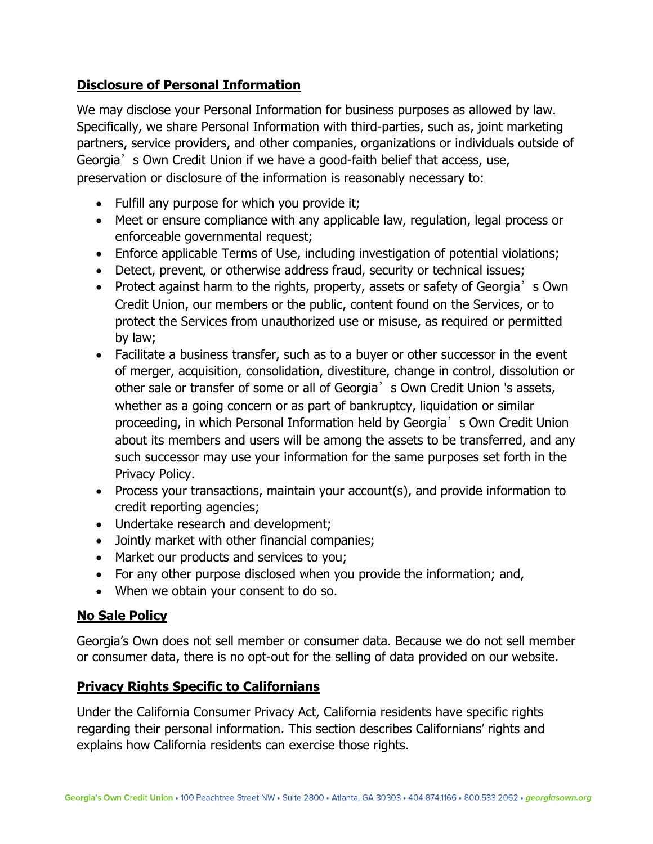# **Disclosure of Personal Information**

We may disclose your Personal Information for business purposes as allowed by law. Specifically, we share Personal Information with third-parties, such as, joint marketing partners, service providers, and other companies, organizations or individuals outside of Georgia<sup>'</sup> s Own Credit Union if we have a good-faith belief that access, use, preservation or disclosure of the information is reasonably necessary to:

- Fulfill any purpose for which you provide it;
- Meet or ensure compliance with any applicable law, regulation, legal process or enforceable governmental request;
- Enforce applicable Terms of Use, including investigation of potential violations;
- Detect, prevent, or otherwise address fraud, security or technical issues;
- Protect against harm to the rights, property, assets or safety of Georgia's Own Credit Union, our members or the public, content found on the Services, or to protect the Services from unauthorized use or misuse, as required or permitted by law;
- Facilitate a business transfer, such as to a buyer or other successor in the event of merger, acquisition, consolidation, divestiture, change in control, dissolution or other sale or transfer of some or all of Georgia's Own Credit Union 's assets, whether as a going concern or as part of bankruptcy, liquidation or similar proceeding, in which Personal Information held by Georgia's Own Credit Union about its members and users will be among the assets to be transferred, and any such successor may use your information for the same purposes set forth in the Privacy Policy.
- Process your transactions, maintain your account(s), and provide information to credit reporting agencies;
- Undertake research and development;
- Jointly market with other financial companies;
- Market our products and services to you;
- For any other purpose disclosed when you provide the information; and,
- When we obtain your consent to do so.

## **No Sale Policy**

Georgia's Own does not sell member or consumer data. Because we do not sell member or consumer data, there is no opt-out for the selling of data provided on our website.

## **Privacy Rights Specific to Californians**

Under the California Consumer Privacy Act, California residents have specific rights regarding their personal information. This section describes Californians' rights and explains how California residents can exercise those rights.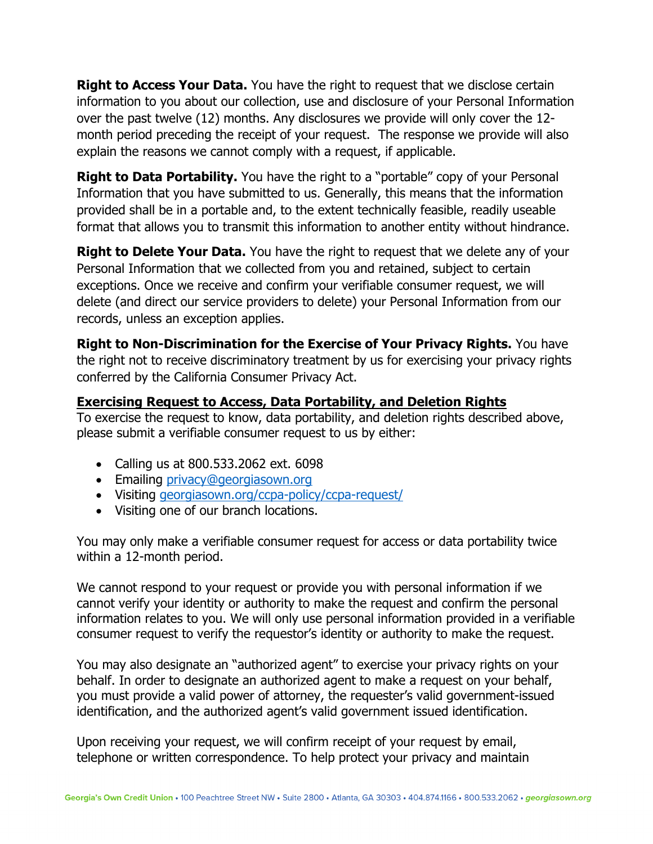**Right to Access Your Data.** You have the right to request that we disclose certain information to you about our collection, use and disclosure of your Personal Information over the past twelve (12) months. Any disclosures we provide will only cover the 12 month period preceding the receipt of your request. The response we provide will also explain the reasons we cannot comply with a request, if applicable.

**Right to Data Portability.** You have the right to a "portable" copy of your Personal Information that you have submitted to us. Generally, this means that the information provided shall be in a portable and, to the extent technically feasible, readily useable format that allows you to transmit this information to another entity without hindrance.

**Right to Delete Your Data.** You have the right to request that we delete any of your Personal Information that we collected from you and retained, subject to certain exceptions. Once we receive and confirm your verifiable consumer request, we will delete (and direct our service providers to delete) your Personal Information from our records, unless an exception applies.

**Right to Non-Discrimination for the Exercise of Your Privacy Rights.** You have the right not to receive discriminatory treatment by us for exercising your privacy rights conferred by the California Consumer Privacy Act.

#### **Exercising Request to Access, Data Portability, and Deletion Rights**

To exercise the request to know, data portability, and deletion rights described above, please submit a verifiable consumer request to us by either:

- Calling us at 800.533.2062 ext. 6098
- Emailing [privacy@georgiasown.org](mailto:privacy@georgiasown.org)
- Visiting [georgiasown.org/ccpa-policy/ccpa-request/](https://www.georgiasown.org/ccpa-request/)
- Visiting one of our branch locations.

You may only make a verifiable consumer request for access or data portability twice within a 12-month period.

We cannot respond to your request or provide you with personal information if we cannot verify your identity or authority to make the request and confirm the personal information relates to you. We will only use personal information provided in a verifiable consumer request to verify the requestor's identity or authority to make the request.

You may also designate an "authorized agent" to exercise your privacy rights on your behalf. In order to designate an authorized agent to make a request on your behalf, you must provide a valid power of attorney, the requester's valid government-issued identification, and the authorized agent's valid government issued identification.

Upon receiving your request, we will confirm receipt of your request by email, telephone or written correspondence. To help protect your privacy and maintain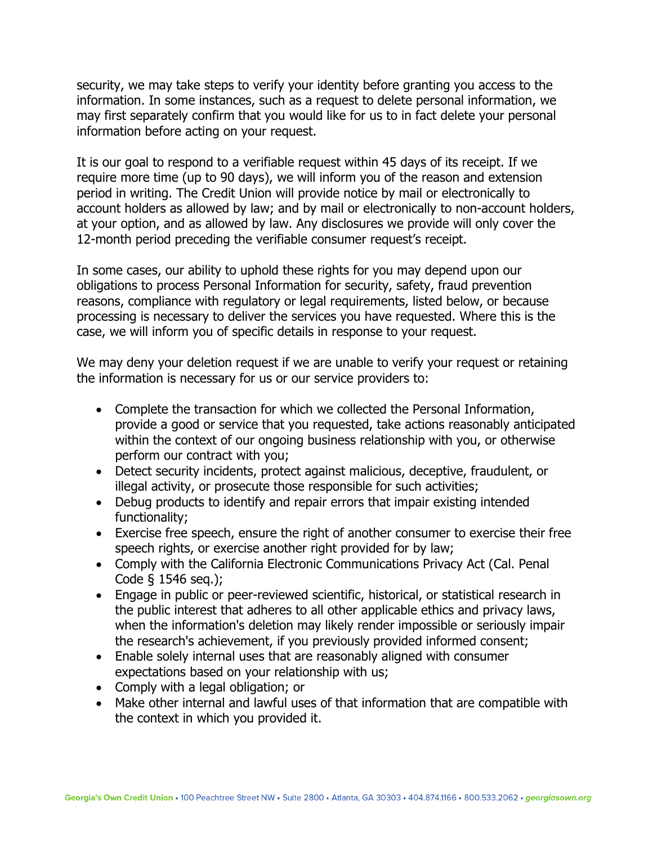security, we may take steps to verify your identity before granting you access to the information. In some instances, such as a request to delete personal information, we may first separately confirm that you would like for us to in fact delete your personal information before acting on your request.

It is our goal to respond to a verifiable request within 45 days of its receipt. If we require more time (up to 90 days), we will inform you of the reason and extension period in writing. The Credit Union will provide notice by mail or electronically to account holders as allowed by law; and by mail or electronically to non-account holders, at your option, and as allowed by law. Any disclosures we provide will only cover the 12-month period preceding the verifiable consumer request's receipt.

In some cases, our ability to uphold these rights for you may depend upon our obligations to process Personal Information for security, safety, fraud prevention reasons, compliance with regulatory or legal requirements, listed below, or because processing is necessary to deliver the services you have requested. Where this is the case, we will inform you of specific details in response to your request.

We may deny your deletion request if we are unable to verify your request or retaining the information is necessary for us or our service providers to:

- Complete the transaction for which we collected the Personal Information, provide a good or service that you requested, take actions reasonably anticipated within the context of our ongoing business relationship with you, or otherwise perform our contract with you;
- Detect security incidents, protect against malicious, deceptive, fraudulent, or illegal activity, or prosecute those responsible for such activities;
- Debug products to identify and repair errors that impair existing intended functionality;
- Exercise free speech, ensure the right of another consumer to exercise their free speech rights, or exercise another right provided for by law;
- Comply with the California Electronic Communications Privacy Act (Cal. Penal Code § 1546 seq.);
- Engage in public or peer-reviewed scientific, historical, or statistical research in the public interest that adheres to all other applicable ethics and privacy laws, when the information's deletion may likely render impossible or seriously impair the research's achievement, if you previously provided informed consent;
- Enable solely internal uses that are reasonably aligned with consumer expectations based on your relationship with us;
- Comply with a legal obligation; or
- Make other internal and lawful uses of that information that are compatible with the context in which you provided it.